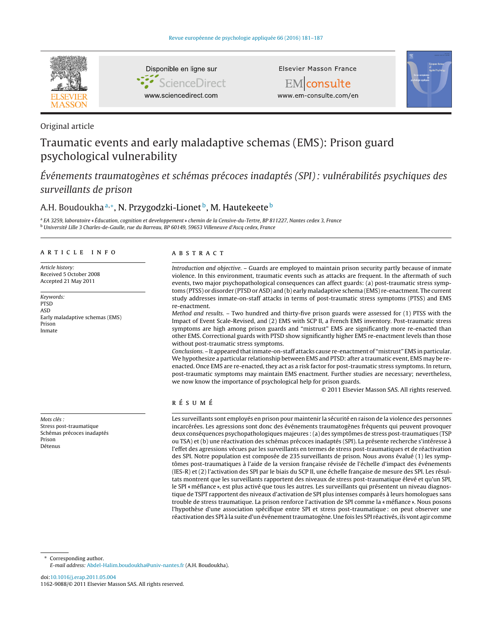

Disponible en ligne sur **ScienceDirect** www.sciencedirect.com

**Elsevier Masson France** EMconsulte

www.em-consulte.com/en



Original article

# Traumatic events and early maladaptive schemas (EMS): Prison guard psychological vulnerability

## Événements traumatogènes et schémas précoces inadaptés (SPI) : vulnérabilités psychiques des surveillants de prison

## A.H. Boudoukha<sup>a,∗</sup>, N. Przygodzki-Lionet<sup>b</sup>, M. Hautekeete<sup>b</sup>

<sup>a</sup> EA 3259, laboratoire « Éducation, cognition et developpement » chemin de la Censive-du-Tertre, BP 811227, Nantes cedex 3, France <sup>b</sup> Université Lille 3 Charles-de-Gaulle, rue du Barreau, BP 60149, 59653 Villeneuve d'Ascq cedex, France

## article info

Article history: Received 5 October 2008 Accepted 21 May 2011

Keywords: PTSD ASD Early maladaptive schemas (EMS) Prison Inmate

Mots clés : Stress post-traumatique Schémas précoces inadaptés Prison Détenus

## **ABSTRACT**

Introduction and objective. – Guards are employed to maintain prison security partly because of inmate violence. In this environment, traumatic events such as attacks are frequent. In the aftermath of such events, two major psychopathological consequences can affect guards: (a) post-traumatic stress symptoms (PTSS) or disorder (PTSD or ASD) and (b) early maladaptive schema (EMS) re-enactment. The current study addresses inmate-on-staff attacks in terms of post-traumatic stress symptoms (PTSS) and EMS re-enactment.

Method and results. – Two hundred and thirty-five prison guards were assessed for (1) PTSS with the Impact of Event Scale-Revised, and (2) EMS with SCP II, a French EMS inventory. Post-traumatic stress symptoms are high among prison guards and "mistrust" EMS are significantly more re-enacted than other EMS. Correctional guards with PTSD show significantly higher EMS re-enactment levels than those without post-traumatic stress symptoms.

Conclusions. – It appeared that inmate-on-staff attacks cause re-enactment of "mistrust" EMS in particular. We hypothesize a particular relationship between EMS and PTSD: after a traumatic event, EMS may be reenacted. Once EMS are re-enacted, they act as a risk factor for post-traumatic stress symptoms. In return, post-traumatic symptoms may maintain EMS enactment. Further studies are necessary; nevertheless, we now know the importance of psychological help for prison guards.

© 2011 Elsevier Masson SAS. All rights reserved.

## résumé

Les surveillants sont employés en prison pour maintenir la sécurité en raison de la violence des personnes incarcérées. Les agressions sont donc des événements traumatogènes fréquents qui peuvent provoquer deux conséquences psychopathologiques majeures : (a) des symptômes de stress post-traumatiques (TSP ou TSA) et (b) une réactivation des schémas précoces inadaptés (SPI). La présente recherche s'intéresse à l'effet des agressions vécues par les surveillants en termes de stress post-traumatiques et de réactivation des SPI. Notre population est composée de 235 surveillants de prison. Nous avons évalué (1) les symptômes post-traumatiques à l'aide de la version française révisée de l'échelle d'impact des événements (IES-R) et (2) l'activation des SPI par le biais du SCP II, une échelle française de mesure des SPI. Les résultats montrent que les surveillants rapportent des niveaux de stress post-traumatique élevé et qu'un SPI, le SPI « méfiance », est plus activé que tous les autres. Les surveillants qui présentent un niveau diagnostique de TSPT rapportent des niveaux d'activation de SPI plus intenses comparés à leurs homologues sans trouble de stress traumatique. La prison renforce l'activation de SPI comme la « méfiance ». Nous posons l'hypothèse d'une association spécifique entre SPI et stress post-traumatique : on peut observer une réactivation des SPI à la suite d'un événement traumatogène. Une fois les SPI réactivés, ils vont agir comme

Corresponding author.

E-mail address: [Abdel-Halim.boudoukha@univ-nantes.fr](mailto:Abdel-Halim.boudoukha@univ-nantes.fr) (A.H. Boudoukha).

doi[:10.1016/j.erap.2011.05.004](dx.doi.org/10.1016/j.erap.2011.05.004) 1162-9088/© 2011 Elsevier Masson SAS. All rights reserved.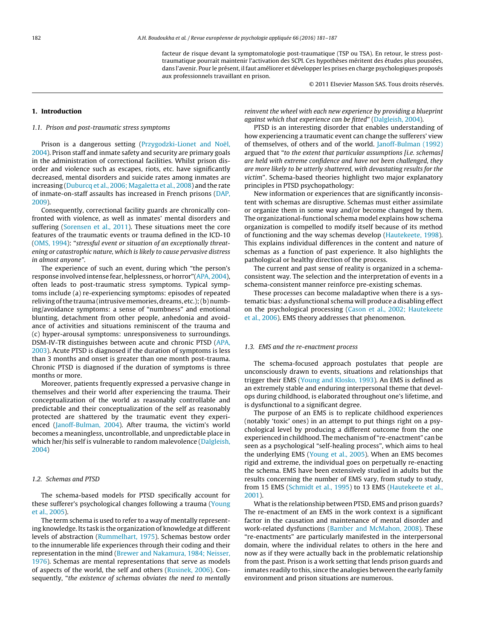facteur de risque devant la symptomatologie post-traumatique (TSP ou TSA). En retour, le stress posttraumatique pourrait maintenir l'activation des SCPI. Ces hypothèses méritent des études plus poussées, dans l'avenir. Pour le présent, il faut améliorer et développer les prises en charge psychologiques proposés aux professionnels travaillant en prison.

© 2011 Elsevier Masson SAS. Tous droits réservés.

## **1. Introduction**

#### 1.1. Prison and post-traumatic stress symptoms

Prison is a dangerous setting ([Przygodzki-Lionet and Noël,](#page-6-0) [2004\).](#page-6-0) Prison staff and inmate safety and security are primary goals in the administration of correctional facilities. Whilst prison disorder and violence such as escapes, riots, etc. have significantly decreased, mental disorders and suicide rates among inmates are increasing ([Duburcq et al., 2006; Magaletta et al., 2008\) a](#page-5-0)nd the rate of inmate-on-staff assaults has increased in French prisons [\(DAP,](#page-5-0) [2009\).](#page-5-0)

Consequently, correctional facility guards are chronically confronted with violence, as well as inmates' mental disorders and suffering [\(Sorensen et al., 2011\).](#page-6-0) These situations meet the core features of the traumatic events or trauma defined in the ICD-10 ([OMS, 1994\):](#page-6-0) "stressful event or situation of an exceptionally threatening or catastrophic nature, which is likely to cause pervasive distress in almost anyone".

The experience of such an event, during which "the person's response involved intense fear, helplessness, or horror"([APA, 2004\),](#page-5-0) often leads to post-traumatic stress symptoms. Typical symptoms include (a) re-experiencing symptoms: episodes of repeated reliving of the trauma (intrusive memories, dreams, etc.); (b) numbing/avoidance symptoms: a sense of "numbness" and emotional blunting, detachment from other people, anhedonia and avoidance of activities and situations reminiscent of the trauma and (c) hyper-arousal symptoms: unresponsiveness to surroundings. DSM-IV-TR distinguishes between acute and chronic PTSD ([APA,](#page-5-0) [2003\).](#page-5-0) Acute PTSD is diagnosed if the duration of symptoms is less than 3 months and onset is greater than one month post-trauma. Chronic PTSD is diagnosed if the duration of symptoms is three months or more.

Moreover, patients frequently expressed a pervasive change in themselves and their world after experiencing the trauma. Their conceptualization of the world as reasonably controllable and predictable and their conceptualization of the self as reasonably protected are shattered by the traumatic event they experienced [\(Janoff-Bulman, 2004\).](#page-5-0) After trauma, the victim's world becomes a meaningless, uncontrollable, and unpredictable place in which her/his self is vulnerable to random malevolence [\(Dalgleish,](#page-5-0) [2004\)](#page-5-0)

#### 1.2. Schemas and PTSD

The schema-based models for PTSD specifically account for these sufferer's psychological changes following a trauma [\(Young](#page-6-0) [et al., 2005\).](#page-6-0)

The term schema is used to refer to a way of mentally representing knowledge. Its task is the organization of knowledge at different levels of abstraction ([Rummelhart, 1975\).](#page-6-0) Schemas bestow order to the innumerable life experiences through their coding and their representation in the mind ([Brewer and Nakamura, 1984; Neisser,](#page-5-0) [1976\).](#page-5-0) Schemas are mental representations that serve as models of aspects of the world, the self and others ([Rusinek, 2006\).](#page-6-0) Consequently, "the existence of schemas obviates the need to mentally

reinvent the wheel with each new experience by providing a blueprint against which that experience can be fitted" ([Dalgleish, 2004\).](#page-5-0)

PTSD is an interesting disorder that enables understanding of how experiencing a traumatic event can change the sufferers' view of themselves, of others and of the world. [Janoff-Bulman \(1992\)](#page-5-0) argued that "to the extent that particular assumptions [i.e. schemas] are held with extreme confidence and have not been challenged, they are more likely to be utterly shattered, with devastating results for the victim". Schema-based theories highlight two major explanatory principles in PTSD psychopathology:

New information or experiences that are significantly inconsistent with schemas are disruptive. Schemas must either assimilate or organize them in some way and/or become changed by them. The organizational-functional schema model explains how schema organization is compelled to modify itself because of its method of functioning and the way schemas develop [\(Hautekeete, 1998\).](#page-5-0) This explains individual differences in the content and nature of schemas as a function of past experience. It also highlights the pathological or healthy direction of the process.

The current and past sense of reality is organized in a schemaconsistent way. The selection and the interpretation of events in a schema-consistent manner reinforce pre-existing schemas.

These processes can become maladaptive when there is a systematic bias: a dysfunctional schema will produce a disabling effect on the psychological processing ([Cason et al., 2002; Hautekeete](#page-5-0) [et al., 2006\).](#page-5-0) EMS theory addresses that phenomenon.

#### 1.3. EMS and the re-enactment process

The schema-focused approach postulates that people are unconsciously drawn to events, situations and relationships that trigger their EMS ([Young and Klosko, 1993\).](#page-6-0) An EMS is defined as an extremely stable and enduring interpersonal theme that develops during childhood, is elaborated throughout one's lifetime, and is dysfunctional to a significant degree.

The purpose of an EMS is to replicate childhood experiences (notably 'toxic' ones) in an attempt to put things right on a psychological level by producing a different outcome from the one experienced in childhood. Themechanism of "re-enactment" can be seen as a psychological "self-healing process", which aims to heal the underlying EMS ([Young et al., 2005\).](#page-6-0) When an EMS becomes rigid and extreme, the individual goes on perpetually re-enacting the schema. EMS have been extensively studied in adults but the results concerning the number of EMS vary, from study to study, from 15 EMS ([Schmidt et al., 1995\)](#page-6-0) to 13 EMS ([Hautekeete et al.,](#page-5-0) [2001\).](#page-5-0)

What is the relationship between PTSD, EMS and prison guards? The re-enactment of an EMS in the work context is a significant factor in the causation and maintenance of mental disorder and work-related dysfunctions ([Bamber and McMahon, 2008\).](#page-5-0) These "re-enactments" are particularly manifested in the interpersonal domain, where the individual relates to others in the here and now as if they were actually back in the problematic relationship from the past. Prison is a work setting that lends prison guards and inmates readily to this, since the analogies between the early family environment and prison situations are numerous.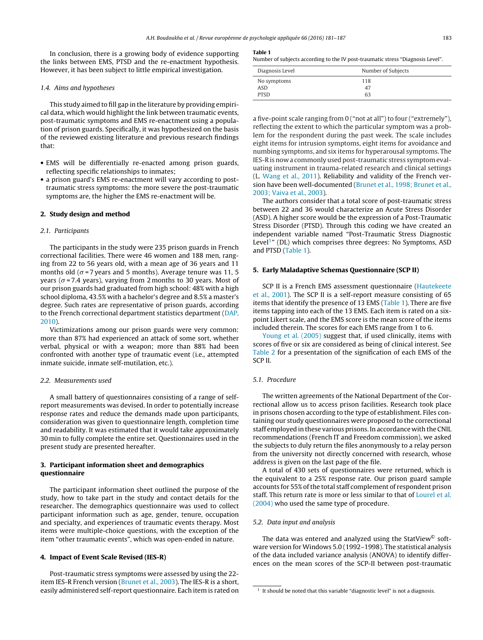In conclusion, there is a growing body of evidence supporting the links between EMS, PTSD and the re-enactment hypothesis. However, it has been subject to little empirical investigation.

#### 1.4. Aims and hypotheses

This study aimed to fill gap in the literature by providing empirical data, which would highlight the link between traumatic events, post-traumatic symptoms and EMS re-enactment using a population of prison guards. Specifically, it was hypothesized on the basis of the reviewed existing literature and previous research findings that:

- EMS will be differentially re-enacted among prison guards, reflecting specific relationships to inmates;
- a prison guard's EMS re-enactment will vary according to posttraumatic stress symptoms: the more severe the post-traumatic symptoms are, the higher the EMS re-enactment will be.

### **2. Study design and method**

#### 2.1. Participants

The participants in the study were 235 prison guards in French correctional facilities. There were 46 women and 188 men, ranging from 22 to 56 years old, with a mean age of 36 years and 11 months old ( $\sigma$  = 7 years and 5 months). Average tenure was 11, 5 years ( $\sigma$ =7.4 years), varying from 2 months to 30 years. Most of our prison guards had graduated from high school: 48% with a high school diploma, 43.5% with a bachelor's degree and 8.5% a master's degree. Such rates are representative of prison guards, according to the French correctional department statistics department [\(DAP,](#page-5-0) [2010\).](#page-5-0)

Victimizations among our prison guards were very common: more than 87% had experienced an attack of some sort, whether verbal, physical or with a weapon; more than 88% had been confronted with another type of traumatic event (i.e., attempted inmate suicide, inmate self-mutilation, etc.).

#### 2.2. Measurements used

A small battery of questionnaires consisting of a range of selfreport measurements was devised. In order to potentially increase response rates and reduce the demands made upon participants, consideration was given to questionnaire length, completion time and readability. It was estimated that it would take approximately 30 min to fully complete the entire set. Questionnaires used in the present study are presented hereafter.

## **3. Participant information sheet and demographics questionnaire**

The participant information sheet outlined the purpose of the study, how to take part in the study and contact details for the researcher. The demographics questionnaire was used to collect participant information such as age, gender, tenure, occupation and specialty, and experiences of traumatic events therapy. Most items were multiple-choice questions, with the exception of the item "other traumatic events", which was open-ended in nature.

## **4. Impact of Event Scale Revised (IES-R)**

Post-traumatic stress symptoms were assessed by using the 22 item IES-R French version [\(Brunet et al., 2003\).](#page-5-0) The IES-R is a short, easily administered self-report questionnaire. Each item is rated on

**Table 1**

Number of subjects according to the IV post-traumatic stress "Diagnosis Level".

| Diagnosis Level | Number of Subjects |
|-----------------|--------------------|
| No symptoms     | 118                |
| ASD             | 47                 |
| <b>PTSD</b>     | 63                 |

a five-point scale ranging from 0 ("not at all") to four ("extremely"), reflecting the extent to which the particular symptom was a problem for the respondent during the past week. The scale includes eight items for intrusion symptoms, eight items for avoidance and numbing symptoms, and six items for hyperarousal symptoms. The IES-R is now a commonly used post-traumatic stress symptom evaluating instrument in trauma-related research and clinical settings (L. [Wang et al., 2011\).](#page-6-0) Reliability and validity of the French version have been well-documented ([Brunet et al., 1998; Brunet et al.,](#page-5-0) [2003; Vaiva et al., 2003\).](#page-5-0)

The authors consider that a total score of post-traumatic stress between 22 and 36 would characterize an Acute Stress Disorder (ASD). A higher score would be the expression of a Post-Traumatic Stress Disorder (PTSD). Through this coding we have created an independent variable named "Post-Traumatic Stress Diagnostic Level<sup>1</sup>" (DL) which comprises three degrees: No Symptoms, ASD and PTSD (Table 1).

## **5. Early Maladaptive Schemas Questionnaire (SCP II)**

SCP II is a French EMS assessment questionnaire [\(Hautekeete](#page-5-0) [et al., 2001\).](#page-5-0) The SCP II is a self-report measure consisting of 65 items that identify the presence of 13 EMS (Table 1). There are five items tapping into each of the 13 EMS. Each item is rated on a sixpoint Likert scale, and the EMS score is the mean score of the items included therein. The scores for each EMS range from 1 to 6.

[Young et al. \(2005\)](#page-6-0) suggest that, if used clinically, items with scores of five or six are considered as being of clinical interest. See [Table 2](#page-3-0) for a presentation of the signification of each EMS of the SCP II.

## 5.1. Procedure

The written agreements of the National Department of the Correctional allow us to access prison facilities. Research took place in prisons chosen according to the type of establishment. Files containing our study questionnaires were proposed to the correctional staff employed in these various prisons. In accordance with the CNIL recommendations (French IT and Freedom commission), we asked the subjects to duly return the files anonymously to a relay person from the university not directly concerned with research, whose address is given on the last page of the file.

A total of 430 sets of questionnaires were returned, which is the equivalent to a 25% response rate. Our prison guard sample accounts for 55% of the total staff complement of respondent prison staff. This return rate is more or less similar to that of [Lourel et al.](#page-5-0) [\(2004\)](#page-5-0) who used the same type of procedure.

### 5.2. Data input and analysis

The data was entered and analyzed using the StatView<sup>©</sup> software version for Windows 5.0 (1992–1998). The statistical analysis of the data included variance analysis (ANOVA) to identify differences on the mean scores of the SCP-II between post-traumatic

 $1$  It should be noted that this variable "diagnostic level" is not a diagnosis.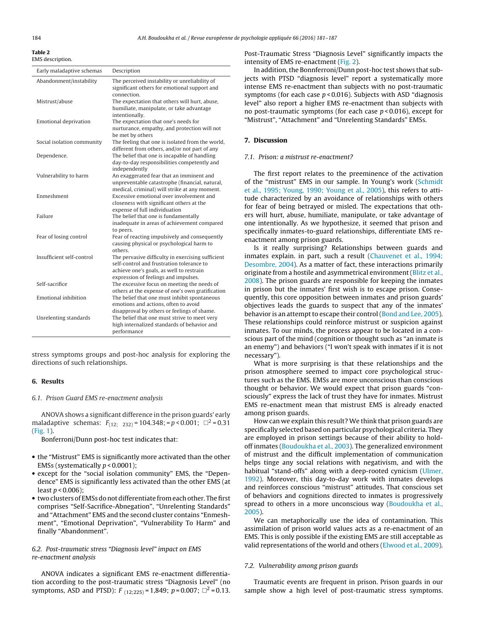#### <span id="page-3-0"></span>**Table 2** EMS description.

| Early maladaptive schemas    | Description                                                                                                                                                                        |
|------------------------------|------------------------------------------------------------------------------------------------------------------------------------------------------------------------------------|
| Abandonment/instability      | The perceived instability or unreliability of<br>significant others for emotional support and<br>connection.                                                                       |
| Mistrust/abuse               | The expectation that others will hurt, abuse,<br>humiliate, manipulate, or take advantage<br>intentionally.                                                                        |
| <b>Emotional deprivation</b> | The expectation that one's needs for<br>nurturance, empathy, and protection will not<br>be met by others                                                                           |
| Social isolation community   | The feeling that one is isolated from the world,<br>different from others, and/or not part of any                                                                                  |
| Dependence.                  | The belief that one is incapable of handling<br>day-to-day responsibilities competently and<br>independently                                                                       |
| Vulnerability to harm        | An exaggerated fear that an imminent and<br>unpreventable catastrophe (financial, natural,<br>medical, criminal) will strike at any moment.                                        |
| Enmeshment                   | Excessive emotional over involvement and<br>closeness with significant others at the<br>expense of full individuation                                                              |
| Failure                      | The belief that one is fundamentally<br>inadequate in areas of achievement compared<br>to peers.                                                                                   |
| Fear of losing control       | Fear of reacting impulsively and consequently<br>causing physical or psychological harm to<br>others.                                                                              |
| Insufficient self-control    | The pervasive difficulty in exercising sufficient<br>self-control and frustration tolerance to<br>achieve one's goals, as well to restrain<br>expression of feelings and impulses. |
| Self-sacrifice               | The excessive focus on meeting the needs of<br>others at the expense of one's own gratification                                                                                    |
| Emotional inhibition         | The belief that one must inhibit spontaneous<br>emotions and actions, often to avoid<br>disapproval by others or feelings of shame.                                                |
| Unrelenting standards        | The belief that one must strive to meet very<br>high internalized standards of behavior and<br>performance                                                                         |

stress symptoms groups and post-hoc analysis for exploring the directions of such relationships.

### **6. Results**

## 6.1. Prison Guard EMS re-enactment analysis

ANOVA shows a significant difference in the prison guards' early maladaptive schemas:  $F_{(12; 232)} = 104.348; \exists p < 0.001; \Box^2 = 0.31$ ([Fig. 1\).](#page-4-0)

Bonferroni/Dunn post-hoc test indicates that:

- the "Mistrust" EMS is significantly more activated than the other EMSs (systematically  $p < 0.0001$ );
- except for the "social isolation community" EMS, the "Dependence" EMS is significantly less activated than the other EMS (at least  $p < 0.006$ );
- two clusters of EMSs do not differentiate from each other. The first comprises "Self-Sacrifice-Abnegation", "Unrelenting Standards" and "Attachment" EMS and the second cluster contains "Enmeshment", "Emotional Deprivation", "Vulnerability To Harm" and finally "Abandonment".

## 6.2. Post-traumatic stress "Diagnosis level" impact on EMS re-enactment analysis

ANOVA indicates a significant EMS re-enactment differentiation according to the post-traumatic stress "Diagnosis Level" (no symptoms, ASD and PTSD):  $F_{(12;225)} = 1,849; \ p = 0.007; \ \Box^2 = 0.13.$ 

Post-Traumatic Stress "Diagnosis Level" significantly impacts the intensity of EMS re-enactment ([Fig. 2\).](#page-4-0)

In addition, the Bonnferroni/Dunn post-hoc test shows that subjects with PTSD "diagnosis level" report a systematically more intense EMS re-enactment than subjects with no post-traumatic symptoms (for each case  $p < 0.016$ ). Subjects with ASD "diagnosis level" also report a higher EMS re-enactment than subjects with no post-traumatic symptoms (for each case  $p < 0.016$ ), except for "Mistrust", "Attachment" and "Unrelenting Standards" EMSs.

## **7. Discussion**

#### 7.1. Prison: a mistrust re-enactment?

The first report relates to the preeminence of the activation of the "mistrust" EMS in our sample. In Young's work [\(Schmidt](#page-6-0) [et al., 1995; Young, 1990; Young et al., 2005\),](#page-6-0) this refers to attitude characterized by an avoidance of relationships with others for fear of being betrayed or misled. The expectations that others will hurt, abuse, humiliate, manipulate, or take advantage of one intentionally. As we hypothesize, it seemed that prison and specifically inmates-to-guard relationships, differentiate EMS reenactment among prison guards.

Is it really surprising? Relationships between guards and inmates explain. in part, such a result ([Chauvenet et al., 1994;](#page-5-0) [Desombre, 2004\).](#page-5-0) As a matter of fact, these interactions primarily originate from a hostile and asymmetrical environment [\(Blitz et al.,](#page-5-0) [2008\).](#page-5-0) The prison guards are responsible for keeping the inmates in prison but the inmates' first wish is to escape prison. Consequently, this core opposition between inmates and prison guards' objectives leads the guards to suspect that any of the inmates' behavior is an attempt to escape their control [\(Bond and Lee, 2005\).](#page-5-0) These relationships could reinforce mistrust or suspicion against inmates. To our minds, the process appear to be located in a conscious part of the mind (cognition or thought such as "an inmate is an enemy") and behaviors ("I won't speak with inmates if it is not necessary").

What is more surprising is that these relationships and the prison atmosphere seemed to impact core psychological structures such as the EMS. EMSs are more unconscious than conscious thought or behavior. We would expect that prison guards "consciously" express the lack of trust they have for inmates. Mistrust EMS re-enactment mean that mistrust EMS is already enacted among prison guards.

How can we explain this result? We think that prison guards are specifically selected based on particular psychological criteria. They are employed in prison settings because of their ability to holdoff inmates ([Boudoukha et al., 2003\).](#page-5-0) The generalized environment of mistrust and the difficult implementation of communication helps tinge any social relations with negativism, and with the habitual "stand-offs" along with a deep-rooted cynicism [\(Ulmer,](#page-6-0) [1992\).](#page-6-0) Moreover, this day-to-day work with inmates develops and reinforces conscious "mistrust" attitudes. That conscious set of behaviors and cognitions directed to inmates is progressively spread to others in a more unconscious way ([Boudoukha et al.,](#page-5-0) [2005\).](#page-5-0)

We can metaphorically use the idea of contamination. This assimilation of prison world values acts as a re-enactment of an EMS. This is only possible if the existing EMS are still acceptable as valid representations of the world and others ([Elwood et al., 2009\).](#page-5-0)

#### 7.2. Vulnerability among prison guards

Traumatic events are frequent in prison. Prison guards in our sample show a high level of post-traumatic stress symptoms.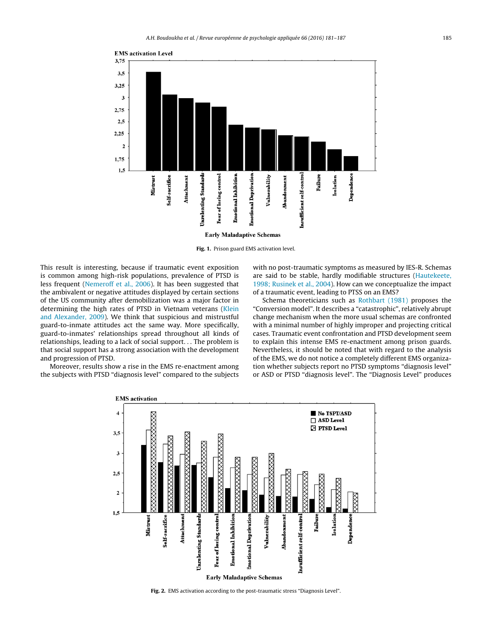<span id="page-4-0"></span>

**Fig. 1.** Prison guard EMS activation level.

This result is interesting, because if traumatic event exposition is common among high-risk populations, prevalence of PTSD is less frequent [\(Nemeroff et al., 2006\).](#page-6-0) It has been suggested that the ambivalent or negative attitudes displayed by certain sections of the US community after demobilization was a major factor in determining the high rates of PTSD in Vietnam veterans ([Klein](#page-5-0) [and Alexander, 2009\).](#page-5-0) We think that suspicious and mistrustful guard-to-inmate attitudes act the same way. More specifically, guard-to-inmates' relationships spread throughout all kinds of relationships, leading to a lack of social support... The problem is that social support has a strong association with the development and progression of PTSD.

Moreover, results show a rise in the EMS re-enactment among the subjects with PTSD "diagnosis level" compared to the subjects

with no post-traumatic symptoms as measured by IES-R. Schemas are said to be stable, hardly modifiable structures [\(Hautekeete,](#page-5-0) [1998; Rusinek et al., 2004\).](#page-5-0) How can we conceptualize the impact of a traumatic event, leading to PTSS on an EMS?

Schema theoreticians such as [Rothbart \(1981\)](#page-6-0) proposes the "Conversion model". It describes a "catastrophic", relatively abrupt change mechanism when the more usual schemas are confronted with a minimal number of highly improper and projecting critical cases. Traumatic event confrontation and PTSD development seem to explain this intense EMS re-enactment among prison guards. Nevertheless, it should be noted that with regard to the analysis of the EMS, we do not notice a completely different EMS organization whether subjects report no PTSD symptoms "diagnosis level" or ASD or PTSD "diagnosis level". The "Diagnosis Level" produces



**Fig. 2.** EMS activation according to the post-traumatic stress "Diagnosis Level".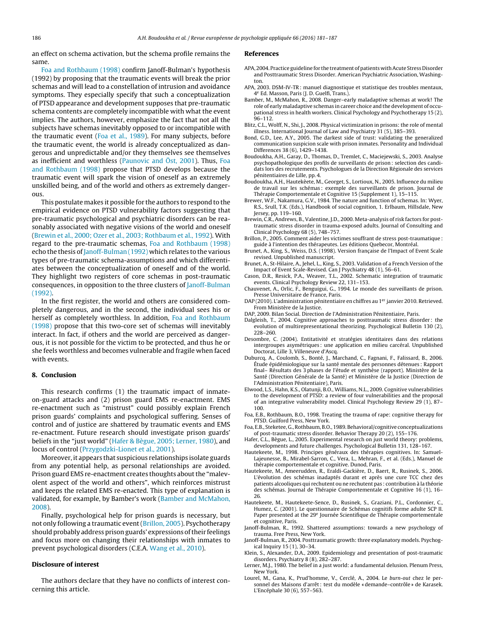<span id="page-5-0"></span>an effect on schema activation, but the schema profile remains the same.

Foa and Rothbaum (1998) confirm Janoff-Bulman's hypothesis (1992) by proposing that the traumatic events will break the prior schemas and will lead to a constellation of intrusion and avoidance symptoms. They especially specify that such a conceptualization of PTSD appearance and development supposes that pre-traumatic schema contents are completely incompatible with what the event implies. The authors, however, emphasize the fact that not all the subjects have schemas inevitably opposed to or incompatible with the traumatic event (Foa et al., 1989). For many subjects, before the traumatic event, the world is already conceptualized as dangerous and unpredictable and/or they themselves see themselves as inefficient and worthless [\(Paunovic and Öst, 2001\).](#page-6-0) Thus, Foa and Rothbaum (1998) propose that PTSD develops because the traumatic event will spark the vision of oneself as an extremely unskilled being, and of the world and others as extremely dangerous.

This postulate makes it possible for the authors to respond to the empirical evidence on PTSD vulnerability factors suggesting that pre-traumatic psychological and psychiatric disorders can be reasonably associated with negative visions of the world and oneself (Brewin et al., 2000; Ozer et al., 2003; Rothbaum et al., 1992). With regard to the pre-traumatic schemas, Foa and Rothbaum (1998) echo the thesis of Janoff-Bulman (1992) which relates to the various types of pre-traumatic schema-assumptions and which differentiates between the conceptualization of oneself and of the world. They highlight two registers of core schemas in post-traumatic consequences, in opposition to the three clusters of Janoff-Bulman (1992).

In the first register, the world and others are considered completely dangerous, and in the second, the individual sees his or herself as completely worthless. In addition, Foa and Rothbaum (1998) propose that this two-core set of schemas will inevitably interact. In fact, if others and the world are perceived as dangerous, it is not possible for the victim to be protected, and thus he or she feels worthless and becomes vulnerable and fragile when faced with events.

## **8. Conclusion**

This research confirms (1) the traumatic impact of inmateon-guard attacks and (2) prison guard EMS re-enactment. EMS re-enactment such as "mistrust" could possibly explain French prison guards' complaints and psychological suffering. Senses of control and of justice are shattered by traumatic events and EMS re-enactment. Future research should investigate prison guards' beliefs in the "just world" (Hafer & Bègue, 2005; Lerner, 1980), and locus of control ([Przygodzki-Lionet et al., 2001\).](#page-6-0)

Moreover, it appears that suspicious relationships isolate guards from any potential help, as personal relationships are avoided. Prison guard EMS re-enactment creates thoughts about the "malevolent aspect of the world and others", which reinforces mistrust and keeps the related EMS re-enacted. This type of explanation is validated, for example, by Bamber's work (Bamber and McMahon, 2008).

Finally, psychological help for prison guards is necessary, but not only following a traumatic event (Brillon, 2005). Psychotherapy should probably address prison guards' expressions of their feelings and focus more on changing their relationships with inmates to prevent psychological disorders (C.E.A. [Wang et al., 2010\).](#page-6-0)

#### **Disclosure of interest**

The authors declare that they have no conflicts of interest concerning this article.

#### **References**

- APA, 2004. Practice guideline for the treatment of patients with Acute Stress Disorder and Posttraumatic Stress Disorder. American Psychiatric Association, Washington.
- APA, 2003. DSM-IV-TR : manuel diagnostique et statistique des troubles mentaux, 4e Ed. Masson, Paris (J. D. Guelfi, Trans.).
- Bamber, M., McMahon, R., 2008. Danger–early maladaptive schemas at work! The role of early maladaptive schemas in career choice and the development of occupational stress in health workers. Clinical Psychology and Psychotherapy 15 (2), 96–112.
- Blitz, C.L., Wolff, N., Shi, J., 2008. Physical victimization in prisons: the role of mental illness. International Journal of Law and Psychiatry 31 (5), 385–393.
- Bond, G.D., Lee, A.Y., 2005. The darkest side of trust: validating the generalized communication suspicion scale with prison inmates. Personality and Individual Differences 38 (6), 1429–1438.
- Boudoukha, A.H., Garay, D., Thomas, D., Tremlet, C., Maciejewski, S., 2003. Analyse psychopathologique des profils de surveillants de prison : selection des candidats lors des recrutements. Psychologues de la Direction Régionale des services pénitentiaires de Lille, pp. 4.
- Boudoukha, A.H., Hautekèete, M., Georget, S., Lortioux, N., 2005. Influence du milieu de travail sur les schémas : exemple des surveillants de prison. Journal de Thérapie Comportementale et Cognitive 15 (Supplement 1), 15–115.
- Brewer, W.F., Nakamura, G.V., 1984. The nature and function of schemas. In: Wyer, R.S., Srull, T.K. (Eds.), Handbook of social cognition, 1. Erlbaum, Hillsdale, New Jersey, pp. 119–160.
- Brewin, C.R., Andrews, B., Valentine, J.D., 2000. Meta-analysis of risk factors for posttraumatic stress disorder in trauma-exposed adults. Journal of Consulting and Clinical Psychology 68 (5), 748–757.
- Brillon, P., 2005. Comment aider les victimes souffrant de stress post-traumatique : guide à l'intention des thérapeutes. Les éditions Quebecor, Montréal.
- Brunet, A., King, S., Weiss, D.S. (1998). Version française de l'Impact of Event Scale revised. Unpublished manuscript.
- Brunet, A., St-Hilaire, A., Jehel, L., King, S., 2003. Validation of a French Version of the Impact of Event Scale-Revised. Can J Psychiatry 48 (1), 56–61.
- Cason, D.R., Resick, P.A., Weaver, T.L., 2002. Schematic integration of traumatic events. Clinical Psychology Review 22, 131–153.
- Chauvenet, A., Orlic, F., Benguigui, G., 1994. Le monde des surveillants de prison. Presse Universitaire de France, Paris.
- DAP (2010). L'administration pénitentiaire en chiffres au 1<sup>er</sup> janvier 2010. Retrieved. From Ministère de la Justice.
- DAP, 2009. Bilan Social. Direction de l'Administration Pénitentiaire, Paris.
- Dalgleish, T., 2004. Cognitive approaches to posttraumatic stress disorder : the evolution of multirepresentational theorizing. Psychological Bulletin 130 (2), 228–260.
- Desombre, C. (2004). Entitativité et stratégies identitaires dans des relations intergroupes asymétriques : une application en milieu carcéral. Unpublished Doctorat, Lille 3, Villeneuve d'Ascq.
- Duburcq, A., Coulomb, S., Bonté, J., Marchand, C., Fagnani, F., Falissard, B., 2006. Étude épidémiologique sur la santé mentale des personnes détenues : Rapport final– Résultats des 3 phases de l'étude et synthèse (rapport). Ministère de la Santé (Direction Générale de la Santé) et Ministère de la Justice (Direction de l'Administration Pénitentiaire), Paris.
- Elwood, L.S., Hahn, K.S., Olatunji, B.O., Williams, N.L., 2009. Cognitive vulnerabilities to the development of PTSD: a review of four vulnerabilities and the proposal of an integrative vulnerability model. Clinical Psychology Review 29 (1), 87– 100.
- Foa, E.B., Rothbaum, B.O., 1998. Treating the trauma of rape: cognitive therapy for PTSD. Guilford Press, New York.
- Foa, E.B., Steketee, G., Rothbaum, B.O., 1989. Behavioral/cognitive conceptualizations of post-traumatic stress disorder. Behavior Therapy 20 (2), 155–176.
- Hafer, C.L., Bègue, L., 2005. Experimental research on just world theory: problems, developments and future challenges. Psychological Bulletin 131, 128–167.
- Hautekeete, M., 1998. Principes généraux des thérapies cognitives. In: Samuel-Lajeunesse, B., Mirabel-Sarron, C., Vera, L., Mehran, F., et al. (Eds.), Manuel de thérapie comportementale et cognitive. Dunod, Paris.
- Hautekeete, M., Ameerudden, R., Eraldi-Gackière, D., Baert, R., Rusinek, S., 2006. L'évolution des schémas inadaptés durant et après une cure TCC chez des patients alcooliques qui rechutent ou ne rechutent pas : contribution à la théorie des schémas. Journal de Thérapie Comportementale et Cognitive 16 (1), 16– 26.
- Hautekeete, M., Hautekeete-Sence, D., Rusinek, S., Graziani, P.L., Cordonnier, C., Humez, C. (2001). Le questionnaire de Schémas cognitifs forme adulte SCP II. Paper presented at the 29<sup>e</sup> Journée Scientifique de Thérapie comportementale et cognitive, Paris.
- Janoff-Bulman, R., 1992. Shattered assumptions: towards a new psychology of trauma. Free Press, New York.
- Janoff-Bulman, R., 2004. Posttraumatic growth: three explanatory models. Psychogical Inquiry 15 (1), 30–34.
- Klein, S., Alexander, D.A., 2009. Epidemiology and presentation of post-traumatic disorders. Psychiatry 8 (8), 282–287.
- Lerner, M.J., 1980. The belief in a just world: a fundamental delusion. Plenum Press, New York.
- Lourel, M., Gana, K., Prud'homme, V., Cerclé, A., 2004. Le burn-out chez le personnel des Maisons d'arrêt : test du modèle « demande–contrôle » de Karasek. L'Encéphale 30 (6), 557–563.